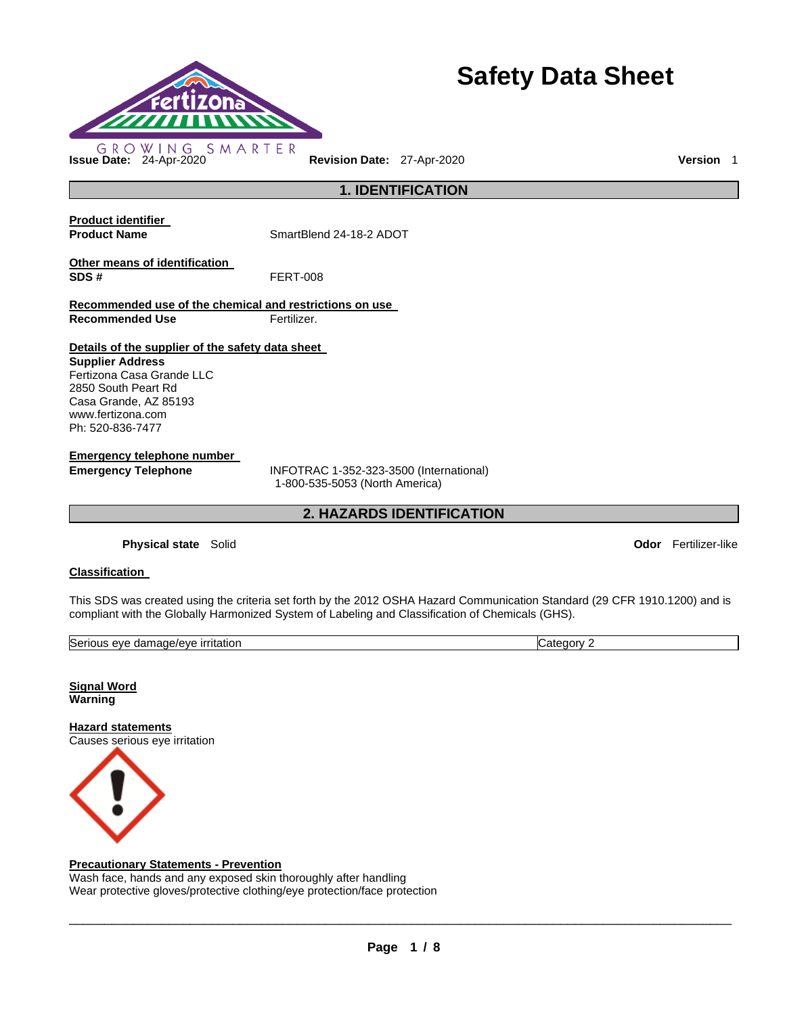

# **Safety Data Sheet**

**Product identifier Product Name SmartBlend 24-18-2 ADOT Other means of identification SDS #** FERT-008 **Recommended use of the chemical and restrictions on use Recommended Use Fertilizer. Details of the supplier of the safety data sheet Supplier Address** Fertizona Casa Grande LLC

2850 South Peart Rd Casa Grande, AZ 85193 www.fertizona.com Ph: 520-836-7477

**Emergency telephone number** 

**Emergency Telephone** INFOTRAC 1-352-323-3500 (International) 1-800-535-5053 (North America)

**2. HAZARDS IDENTIFICATION** 

**1. IDENTIFICATION** 

**Physical state** Solid **Odor** Fertilizer-like

# **Classification**

This SDS was created using the criteria set forth by the 2012 OSHA Hazard Communication Standard (29 CFR 1910.1200) and is compliant with the Globally Harmonized System of Labeling and Classification of Chemicals (GHS).

| Serio<br>urritation.<br>mane/eve<br>״יר<br>Α٧<br>nn,<br>паг<br>11711777<br>$-1$ |  |
|---------------------------------------------------------------------------------|--|

**Signal Word Warning** 

**Hazard statements** Causes serious eye irritation



# **Precautionary Statements - Prevention**

Wash face, hands and any exposed skin thoroughly after handling Wear protective gloves/protective clothing/eye protection/face protection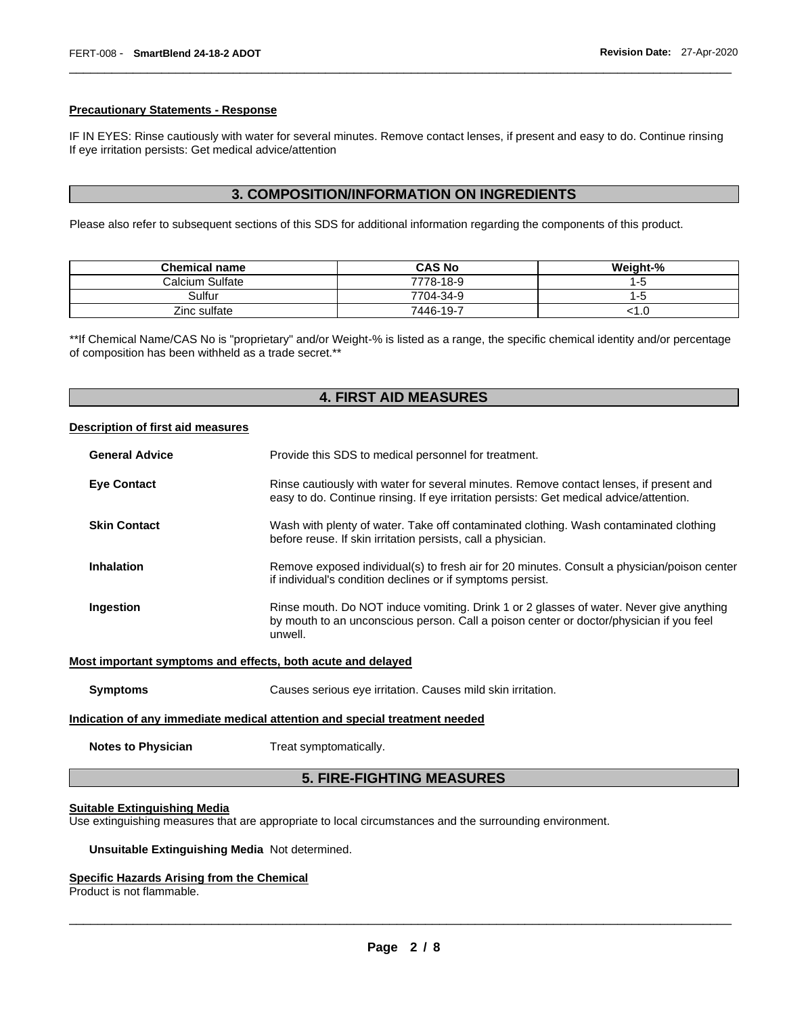### **Precautionary Statements - Response**

IF IN EYES: Rinse cautiously with water for several minutes. Remove contact lenses, if present and easy to do. Continue rinsing If eye irritation persists: Get medical advice/attention

\_\_\_\_\_\_\_\_\_\_\_\_\_\_\_\_\_\_\_\_\_\_\_\_\_\_\_\_\_\_\_\_\_\_\_\_\_\_\_\_\_\_\_\_\_\_\_\_\_\_\_\_\_\_\_\_\_\_\_\_\_\_\_\_\_\_\_\_\_\_\_\_\_\_\_\_\_\_\_\_\_\_\_\_\_\_\_\_\_\_\_\_\_

# **3. COMPOSITION/INFORMATION ON INGREDIENTS**

Please also refer to subsequent sections of this SDS for additional information regarding the components of this product.

| <b>Chemical name</b> | <b>CAS No</b> | Weight-% |
|----------------------|---------------|----------|
| Calcium Sulfate      | 7778-18-9     | i - 5    |
| Sulfur               | 7704-34-9     | Еċ       |
| Zinc sulfate         | 7446-19-7     | نا، ا    |

\*\*If Chemical Name/CAS No is "proprietary" and/or Weight-% is listed as a range, the specific chemical identity and/or percentage of composition has been withheld as a trade secret.\*\*

# **4. FIRST AID MEASURES**

### **Description of first aid measures**

| <b>General Advice</b> | Provide this SDS to medical personnel for treatment.                                                                                                                                          |
|-----------------------|-----------------------------------------------------------------------------------------------------------------------------------------------------------------------------------------------|
| <b>Eye Contact</b>    | Rinse cautiously with water for several minutes. Remove contact lenses, if present and<br>easy to do. Continue rinsing. If eye irritation persists: Get medical advice/attention.             |
| <b>Skin Contact</b>   | Wash with plenty of water. Take off contaminated clothing. Wash contaminated clothing<br>before reuse. If skin irritation persists, call a physician.                                         |
| <b>Inhalation</b>     | Remove exposed individual(s) to fresh air for 20 minutes. Consult a physician/poison center<br>if individual's condition declines or if symptoms persist.                                     |
| Ingestion             | Rinse mouth. Do NOT induce vomiting. Drink 1 or 2 glasses of water. Never give anything<br>by mouth to an unconscious person. Call a poison center or doctor/physician if you feel<br>unwell. |
|                       | Most important symptoms and effects, both acute and delayed                                                                                                                                   |

### **Indication of any immediate medical attention and special treatment needed**

**Notes to Physician Treat symptomatically.** 

# **5. FIRE-FIGHTING MEASURES**

### **Suitable Extinguishing Media**

Use extinguishing measures that are appropriate to local circumstances and the surrounding environment.

### **Unsuitable Extinguishing Media** Not determined.

# **Specific Hazards Arising from the Chemical**

Product is not flammable.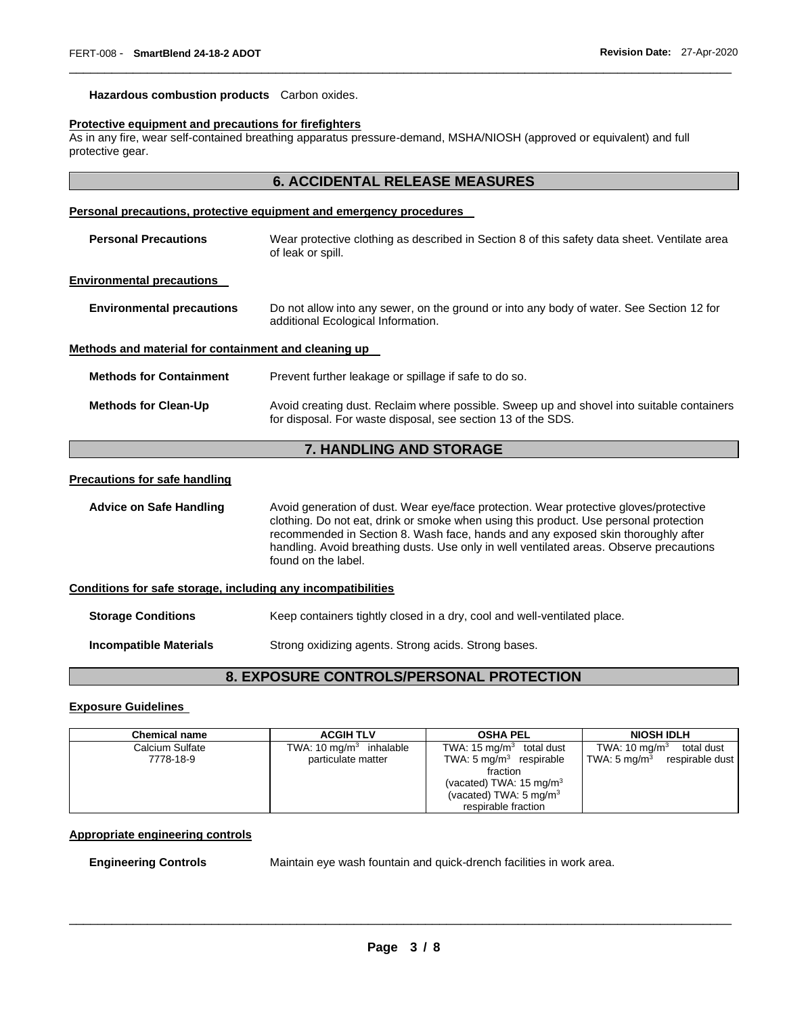#### **Hazardous combustion products** Carbon oxides.

### **Protective equipment and precautions for firefighters**

As in any fire, wear self-contained breathing apparatus pressure-demand, MSHA/NIOSH (approved or equivalent) and full protective gear.

### **6. ACCIDENTAL RELEASE MEASURES**

\_\_\_\_\_\_\_\_\_\_\_\_\_\_\_\_\_\_\_\_\_\_\_\_\_\_\_\_\_\_\_\_\_\_\_\_\_\_\_\_\_\_\_\_\_\_\_\_\_\_\_\_\_\_\_\_\_\_\_\_\_\_\_\_\_\_\_\_\_\_\_\_\_\_\_\_\_\_\_\_\_\_\_\_\_\_\_\_\_\_\_\_\_

### **Personal precautions, protective equipment and emergency procedures**

| <b>Personal Precautions</b>                          | Wear protective clothing as described in Section 8 of this safety data sheet. Ventilate area<br>of leak or spill.                                         |  |  |
|------------------------------------------------------|-----------------------------------------------------------------------------------------------------------------------------------------------------------|--|--|
| <b>Environmental precautions</b>                     |                                                                                                                                                           |  |  |
| <b>Environmental precautions</b>                     | Do not allow into any sewer, on the ground or into any body of water. See Section 12 for<br>additional Ecological Information.                            |  |  |
| Methods and material for containment and cleaning up |                                                                                                                                                           |  |  |
| <b>Methods for Containment</b>                       | Prevent further leakage or spillage if safe to do so.                                                                                                     |  |  |
| <b>Methods for Clean-Up</b>                          | Avoid creating dust. Reclaim where possible. Sweep up and shovel into suitable containers<br>for disposal. For waste disposal, see section 13 of the SDS. |  |  |
| <b>7 HANDI ING AND STORAGE</b>                       |                                                                                                                                                           |  |  |

# **7. HANDLING AND STORAGE**

#### **Precautions for safe handling**

**Advice on Safe Handling** Avoid generation of dust. Wear eye/face protection. Wear protective gloves/protective clothing. Do not eat, drink or smoke when using this product. Use personal protection recommended in Section 8. Wash face, hands and any exposed skin thoroughly after handling. Avoid breathing dusts. Use only in well ventilated areas. Observe precautions found on the label.

#### **Conditions for safe storage, including any incompatibilities**

**Storage Conditions Keep containers tightly closed in a dry, cool and well-ventilated place.** 

**Incompatible Materials Strong oxidizing agents. Strong acids. Strong bases.** 

# **8. EXPOSURE CONTROLS/PERSONAL PROTECTION**

### **Exposure Guidelines**

| <b>Chemical name</b> | <b>ACGIH TLV</b>                   | <b>OSHA PEL</b>                     | <b>NIOSH IDLH</b>                          |
|----------------------|------------------------------------|-------------------------------------|--------------------------------------------|
| Calcium Sulfate      | TWA: $10 \text{ mg/m}^3$ inhalable | TWA: $15 \text{ mg/m}^3$ total dust | TWA: $10 \text{ mg/m}^3$<br>total dust     |
| 7778-18-9            | particulate matter                 | TWA: $5 \text{ mg/m}^3$ respirable  | TWA: $5 \text{ ma/m}^3$<br>respirable dust |
|                      |                                    | fraction                            |                                            |
|                      |                                    | (vacated) TWA: $15 \text{ mg/m}^3$  |                                            |
|                      |                                    | (vacated) TWA: $5 \text{ mg/m}^3$   |                                            |
|                      |                                    | respirable fraction                 |                                            |

### **Appropriate engineering controls**

**Engineering Controls** Maintain eye wash fountain and quick-drench facilities in work area.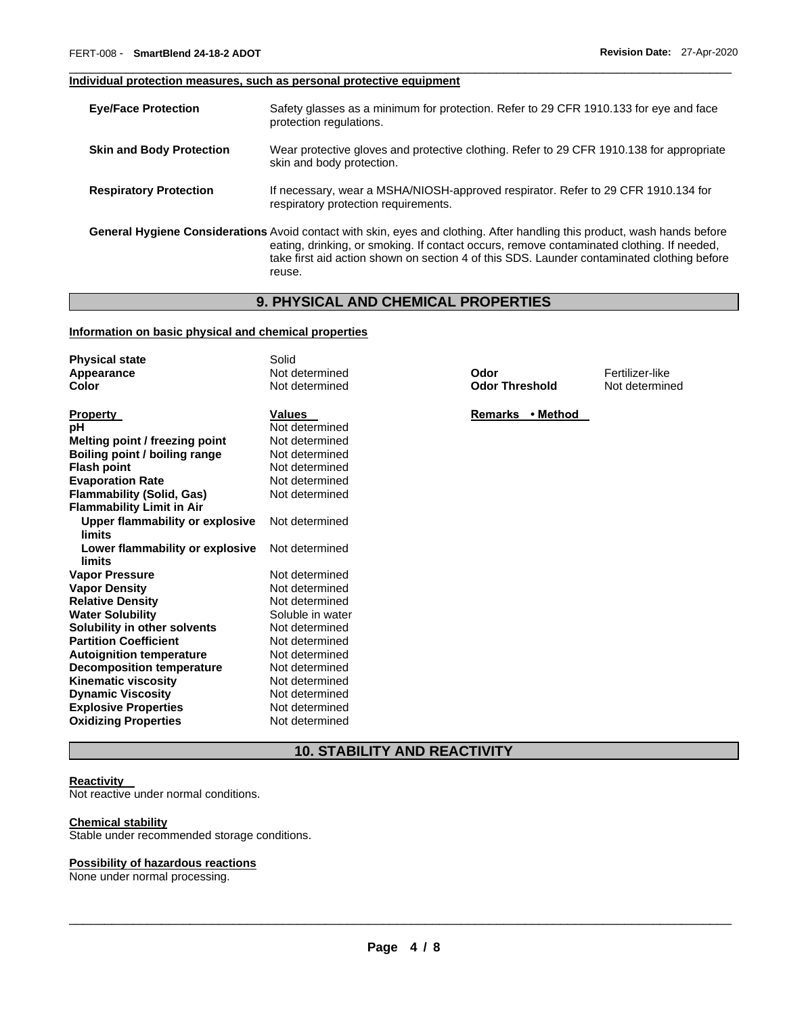### **Individual protection measures, such as personal protective equipment**

| <b>Eye/Face Protection</b>      | Safety glasses as a minimum for protection. Refer to 29 CFR 1910.133 for eye and face<br>protection regulations.                                                                                                                                                                                                               |
|---------------------------------|--------------------------------------------------------------------------------------------------------------------------------------------------------------------------------------------------------------------------------------------------------------------------------------------------------------------------------|
| <b>Skin and Body Protection</b> | Wear protective gloves and protective clothing. Refer to 29 CFR 1910.138 for appropriate<br>skin and body protection.                                                                                                                                                                                                          |
| <b>Respiratory Protection</b>   | If necessary, wear a MSHA/NIOSH-approved respirator. Refer to 29 CFR 1910.134 for<br>respiratory protection requirements.                                                                                                                                                                                                      |
|                                 | General Hygiene Considerations Avoid contact with skin, eyes and clothing. After handling this product, wash hands before<br>eating, drinking, or smoking. If contact occurs, remove contaminated clothing. If needed,<br>take first aid action shown on section 4 of this SDS. Launder contaminated clothing before<br>reuse. |

\_\_\_\_\_\_\_\_\_\_\_\_\_\_\_\_\_\_\_\_\_\_\_\_\_\_\_\_\_\_\_\_\_\_\_\_\_\_\_\_\_\_\_\_\_\_\_\_\_\_\_\_\_\_\_\_\_\_\_\_\_\_\_\_\_\_\_\_\_\_\_\_\_\_\_\_\_\_\_\_\_\_\_\_\_\_\_\_\_\_\_\_\_

# **9. PHYSICAL AND CHEMICAL PROPERTIES**

## **Information on basic physical and chemical properties**

| <b>Physical state</b>            | Solid            |                       |                 |
|----------------------------------|------------------|-----------------------|-----------------|
| Appearance                       | Not determined   | Odor                  | Fertilizer-like |
| Color                            | Not determined   | <b>Odor Threshold</b> | Not determined  |
|                                  |                  |                       |                 |
| <b>Property</b>                  | <b>Values</b>    | Remarks • Method      |                 |
| рH                               | Not determined   |                       |                 |
| Melting point / freezing point   | Not determined   |                       |                 |
| Boiling point / boiling range    | Not determined   |                       |                 |
| <b>Flash point</b>               | Not determined   |                       |                 |
| <b>Evaporation Rate</b>          | Not determined   |                       |                 |
| <b>Flammability (Solid, Gas)</b> | Not determined   |                       |                 |
| <b>Flammability Limit in Air</b> |                  |                       |                 |
| Upper flammability or explosive  | Not determined   |                       |                 |
| limits                           |                  |                       |                 |
| Lower flammability or explosive  | Not determined   |                       |                 |
| limits                           |                  |                       |                 |
| <b>Vapor Pressure</b>            | Not determined   |                       |                 |
| <b>Vapor Density</b>             | Not determined   |                       |                 |
| <b>Relative Density</b>          | Not determined   |                       |                 |
| <b>Water Solubility</b>          | Soluble in water |                       |                 |
| Solubility in other solvents     | Not determined   |                       |                 |
| <b>Partition Coefficient</b>     | Not determined   |                       |                 |
| <b>Autoignition temperature</b>  | Not determined   |                       |                 |
| <b>Decomposition temperature</b> | Not determined   |                       |                 |
| <b>Kinematic viscosity</b>       | Not determined   |                       |                 |
| <b>Dynamic Viscosity</b>         | Not determined   |                       |                 |
| <b>Explosive Properties</b>      | Not determined   |                       |                 |
| <b>Oxidizing Properties</b>      | Not determined   |                       |                 |

# **10. STABILITY AND REACTIVITY**

# **Reactivity**

Not reactive under normal conditions.

# **Chemical stability**

Stable under recommended storage conditions.

### **Possibility of hazardous reactions**

None under normal processing.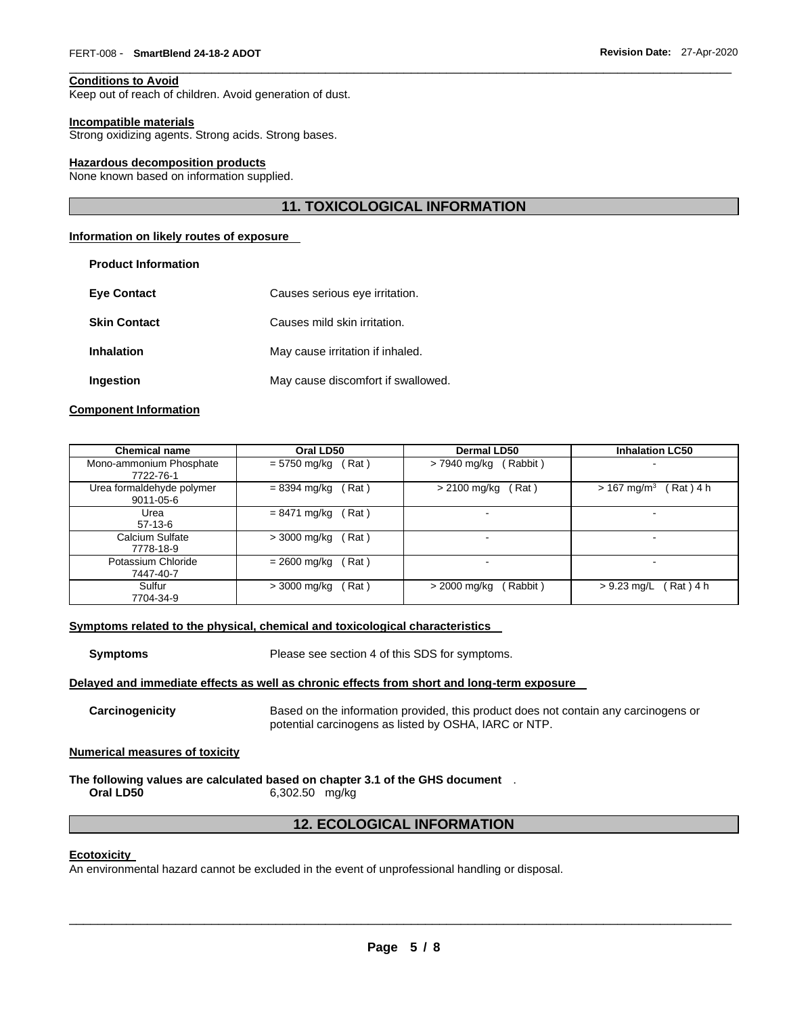### **Conditions to Avoid**

Keep out of reach of children. Avoid generation of dust.

#### **Incompatible materials**

Strong oxidizing agents. Strong acids. Strong bases.

### **Hazardous decomposition products**

None known based on information supplied.

# **11. TOXICOLOGICAL INFORMATION**

\_\_\_\_\_\_\_\_\_\_\_\_\_\_\_\_\_\_\_\_\_\_\_\_\_\_\_\_\_\_\_\_\_\_\_\_\_\_\_\_\_\_\_\_\_\_\_\_\_\_\_\_\_\_\_\_\_\_\_\_\_\_\_\_\_\_\_\_\_\_\_\_\_\_\_\_\_\_\_\_\_\_\_\_\_\_\_\_\_\_\_\_\_

### **Information on likely routes of exposure**

| <b>Product Information</b> |  |  |
|----------------------------|--|--|
|----------------------------|--|--|

| <b>Eve Contact</b>  | Causes serious eye irritation.     |
|---------------------|------------------------------------|
| <b>Skin Contact</b> | Causes mild skin irritation.       |
| <b>Inhalation</b>   | May cause irritation if inhaled.   |
| Ingestion           | May cause discomfort if swallowed. |

### **Component Information**

| <b>Chemical name</b>                   | Oral LD50              | <b>Dermal LD50</b>       | <b>Inhalation LC50</b>                   |
|----------------------------------------|------------------------|--------------------------|------------------------------------------|
| Mono-ammonium Phosphate<br>7722-76-1   | Rat)<br>$= 5750$ mg/kg | (Rabbit)<br>> 7940 mg/kg | ۰                                        |
| Urea formaldehyde polymer<br>9011-05-6 | Rat)<br>$= 8394$ mg/kg | Rat)<br>> 2100 mg/kg     | $> 167$ mg/m <sup>3</sup><br>$Rat$ ) 4 h |
| Urea<br>57-13-6                        | Rat)<br>= 8471 mg/kg   | $\overline{\phantom{0}}$ |                                          |
| Calcium Sulfate<br>7778-18-9           | Rat)<br>> 3000 mg/kg   |                          | $\blacksquare$                           |
| Potassium Chloride<br>7447-40-7        | $= 2600$ mg/kg<br>Rat) | $\overline{\phantom{0}}$ | $\blacksquare$                           |
| Sulfur<br>7704-34-9                    | Rat)<br>> 3000 mg/kg   | > 2000 mg/kg<br>Rabbit)  | $> 9.23$ mg/L<br>Rat ) 4 h               |

### **Symptoms related to the physical, chemical and toxicological characteristics**

**Symptoms** Please see section 4 of this SDS for symptoms.

### **Delayed and immediate effects as well as chronic effects from short and long-term exposure**

**Carcinogenicity** Based on the information provided, this product does not contain any carcinogens or potential carcinogens as listed by OSHA, IARC or NTP.

### **Numerical measures of toxicity**

**The following values are calculated based on chapter 3.1 of the GHS document** .

**Oral LD50** 6,302.50 mg/kg

# **12. ECOLOGICAL INFORMATION**

#### **Ecotoxicity**

An environmental hazard cannot be excluded in the event of unprofessional handling or disposal.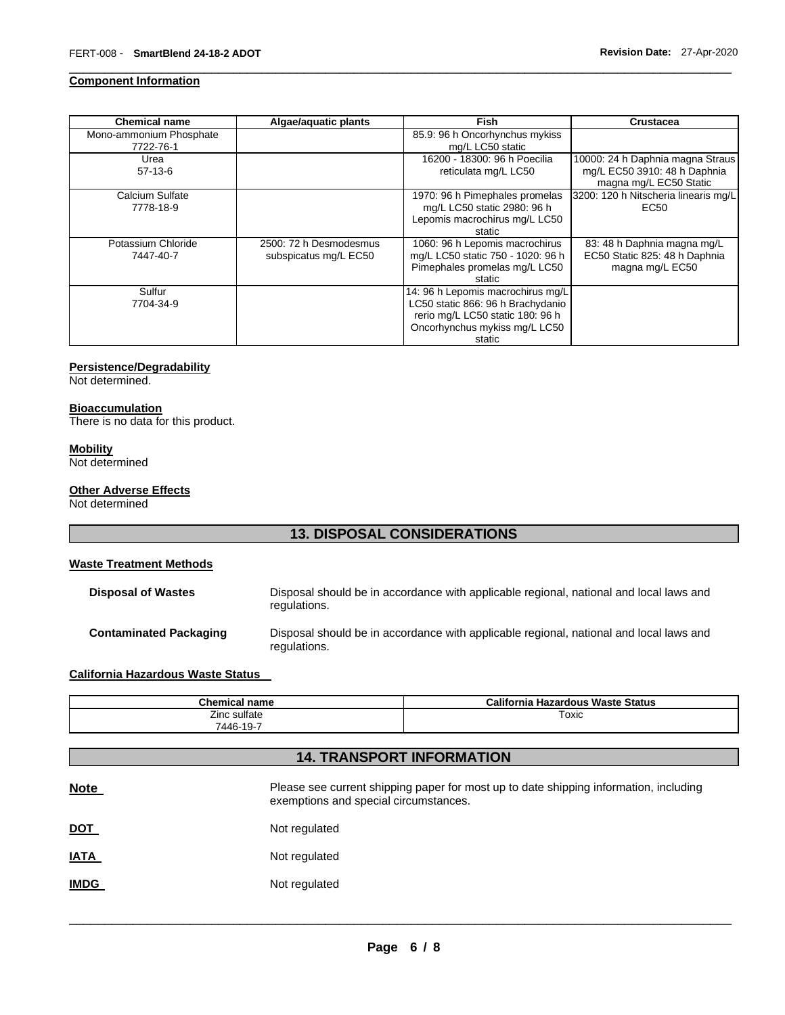### **Component Information**

| <b>Chemical name</b>    | Algae/aquatic plants   | <b>Fish</b>                       | Crustacea                            |
|-------------------------|------------------------|-----------------------------------|--------------------------------------|
| Mono-ammonium Phosphate |                        | 85.9: 96 h Oncorhynchus mykiss    |                                      |
| 7722-76-1               |                        | mg/L LC50 static                  |                                      |
| Urea                    |                        | 16200 - 18300: 96 h Poecilia      | 10000: 24 h Daphnia magna Straus     |
| $57-13-6$               |                        | reticulata mg/L LC50              | mg/L EC50 3910: 48 h Daphnia         |
|                         |                        |                                   | magna mg/L EC50 Static               |
| Calcium Sulfate         |                        | 1970: 96 h Pimephales promelas    | 3200: 120 h Nitscheria linearis mg/L |
| 7778-18-9               |                        | mg/L LC50 static 2980: 96 h       | EC50                                 |
|                         |                        | Lepomis macrochirus mg/L LC50     |                                      |
|                         |                        | static                            |                                      |
| Potassium Chloride      | 2500: 72 h Desmodesmus | 1060: 96 h Lepomis macrochirus    | 83: 48 h Daphnia magna mg/L          |
| 7447-40-7               | subspicatus mg/L EC50  | mg/L LC50 static 750 - 1020: 96 h | EC50 Static 825: 48 h Daphnia        |
|                         |                        | Pimephales promelas mg/L LC50     | magna mg/L EC50                      |
|                         |                        | static                            |                                      |
| Sulfur                  |                        | 14: 96 h Lepomis macrochirus mg/L |                                      |
| 7704-34-9               |                        | LC50 static 866: 96 h Brachydanio |                                      |
|                         |                        | rerio mg/L LC50 static 180: 96 h  |                                      |
|                         |                        | Oncorhynchus mykiss mg/L LC50     |                                      |
|                         |                        | static                            |                                      |

\_\_\_\_\_\_\_\_\_\_\_\_\_\_\_\_\_\_\_\_\_\_\_\_\_\_\_\_\_\_\_\_\_\_\_\_\_\_\_\_\_\_\_\_\_\_\_\_\_\_\_\_\_\_\_\_\_\_\_\_\_\_\_\_\_\_\_\_\_\_\_\_\_\_\_\_\_\_\_\_\_\_\_\_\_\_\_\_\_\_\_\_\_

# **Persistence/Degradability**

Not determined.

#### **Bioaccumulation**

There is no data for this product.

# **Mobility**

Not determined

# **Other Adverse Effects**

Not determined

# **13. DISPOSAL CONSIDERATIONS**

# **Waste Treatment Methods**

| <b>Disposal of Wastes</b>     | Disposal should be in accordance with applicable regional, national and local laws and<br>regulations. |
|-------------------------------|--------------------------------------------------------------------------------------------------------|
| <b>Contaminated Packaging</b> | Disposal should be in accordance with applicable regional, national and local laws and<br>regulations. |

# **California Hazardous Waste Status**

| <b>Chemical name</b>      | California<br>a Hazardous Waste Status |
|---------------------------|----------------------------------------|
| $- \cdot$<br>Zinc sulfate | Toxic                                  |
| 7446-19-7                 |                                        |

# **14. TRANSPORT INFORMATION**

| <b>Note</b> | Please see current shipping paper for most up to date shipping information, including<br>exemptions and special circumstances. |
|-------------|--------------------------------------------------------------------------------------------------------------------------------|
| <u>DOT</u>  | Not regulated                                                                                                                  |
| <b>IATA</b> | Not regulated                                                                                                                  |
| <b>IMDG</b> | Not regulated                                                                                                                  |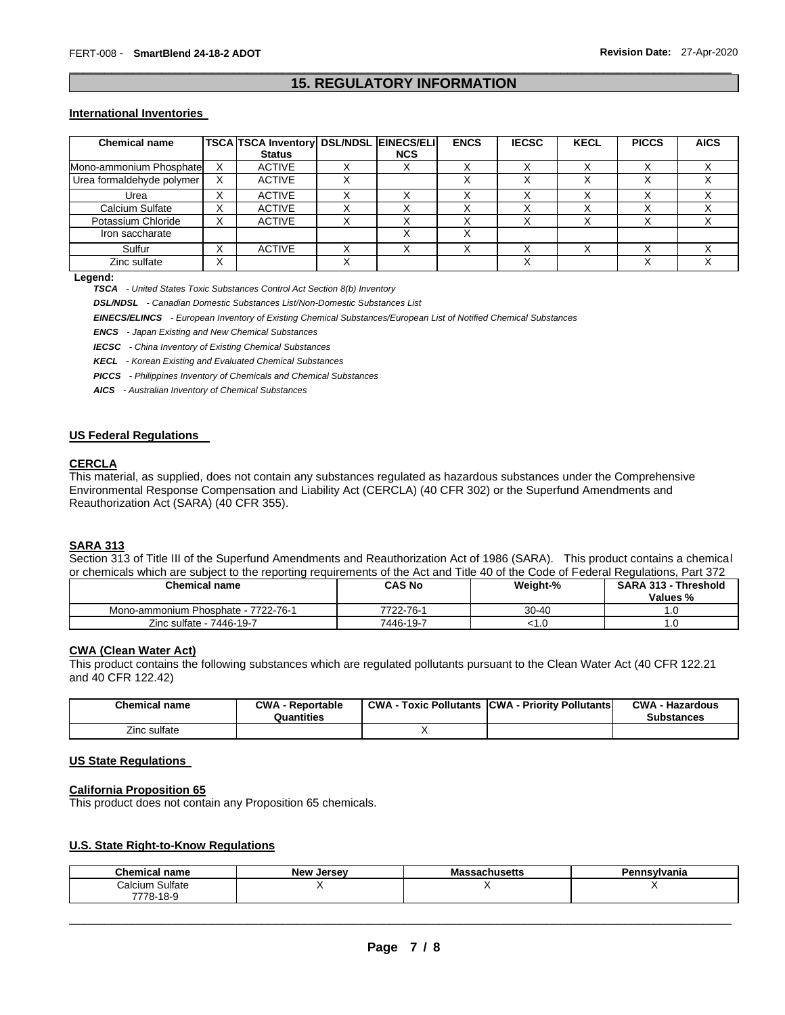### \_\_\_\_\_\_\_\_\_\_\_\_\_\_\_\_\_\_\_\_\_\_\_\_\_\_\_\_\_\_\_\_\_\_\_\_\_\_\_\_\_\_\_\_\_\_\_\_\_\_\_\_\_\_\_\_\_\_\_\_\_\_\_\_\_\_\_\_\_\_\_\_\_\_\_\_\_\_\_\_\_\_\_\_\_\_\_\_\_\_\_\_\_ **15. REGULATORY INFORMATION**

### **International Inventories**

| <b>Chemical name</b>      |                   | <b>TSCA TSCA Inventory DSL/NDSL EINECS/ELI</b><br><b>Status</b> |              | <b>NCS</b> | <b>ENCS</b> | <b>IECSC</b> | <b>KECL</b>  | <b>PICCS</b> | <b>AICS</b> |
|---------------------------|-------------------|-----------------------------------------------------------------|--------------|------------|-------------|--------------|--------------|--------------|-------------|
| Mono-ammonium Phosphate   | X                 | <b>ACTIVE</b>                                                   |              |            |             |              |              |              |             |
| Urea formaldehyde polymer | X                 | <b>ACTIVE</b>                                                   |              |            |             |              |              |              |             |
| Urea                      | $\checkmark$<br>⋏ | <b>ACTIVE</b>                                                   | $\checkmark$ |            |             |              | $\checkmark$ | $\check{ }$  |             |
| Calcium Sulfate           |                   | <b>ACTIVE</b>                                                   |              |            |             |              |              |              |             |
| Potassium Chloride        | v                 | <b>ACTIVE</b>                                                   |              |            |             |              |              |              |             |
| Iron saccharate           |                   |                                                                 |              |            |             |              |              |              |             |
| Sulfur                    | $\checkmark$<br>⋏ | <b>ACTIVE</b>                                                   |              |            |             |              |              |              |             |
| Zinc sulfate              | ⋏                 |                                                                 |              |            |             |              |              |              |             |

#### **Legend:**

*TSCA - United States Toxic Substances Control Act Section 8(b) Inventory* 

*DSL/NDSL - Canadian Domestic Substances List/Non-Domestic Substances List* 

*EINECS/ELINCS - European Inventory of Existing Chemical Substances/European List of Notified Chemical Substances* 

*ENCS - Japan Existing and New Chemical Substances* 

*IECSC - China Inventory of Existing Chemical Substances* 

*KECL - Korean Existing and Evaluated Chemical Substances* 

*PICCS - Philippines Inventory of Chemicals and Chemical Substances* 

*AICS - Australian Inventory of Chemical Substances* 

### **US Federal Regulations**

### **CERCLA**

This material, as supplied, does not contain any substances regulated as hazardous substances under the Comprehensive Environmental Response Compensation and Liability Act (CERCLA) (40 CFR 302) or the Superfund Amendments and Reauthorization Act (SARA) (40 CFR 355).

### **SARA 313**

Section 313 of Title III of the Superfund Amendments and Reauthorization Act of 1986 (SARA). This product contains a chemical or chemicals which are subject to the reporting requirements of the Act and Title 40 of the Code of Federal Regulations, Part 372

| <b>Chemical name</b>                | CAS No    | Weight-%  | <b>SARA 313 - Threshold</b><br>Values % |
|-------------------------------------|-----------|-----------|-----------------------------------------|
| Mono-ammonium Phosphate - 7722-76-1 | 7722-76-1 | $30 - 40$ | .u                                      |
| Zinc sulfate ·<br>7446-19-7         | 7446-19-7 | 51.U      |                                         |

### **CWA (Clean Water Act)**

This product contains the following substances which are regulated pollutants pursuant to the Clean Water Act (40 CFR 122.21 and 40 CFR 122.42)

| Chemical name | <b>CWA - Reportable</b><br>Quantities | <b>CWA - Toxic Pollutants CWA - Priority Pollutants</b> | <b>CWA - Hazardous</b><br>Substances |
|---------------|---------------------------------------|---------------------------------------------------------|--------------------------------------|
| Zinc sulfate  |                                       |                                                         |                                      |

### **US State Regulations**

### **California Proposition 65**

This product does not contain any Proposition 65 chemicals.

### **U.S. State Right-to-Know Regulations**

| <b>Chemical name</b> | - -<br><b>New Jersey</b> | Massachusetts | Pennsylvania |
|----------------------|--------------------------|---------------|--------------|
| Calcium Sulfate      |                          |               |              |
| 778-18-9             |                          |               |              |